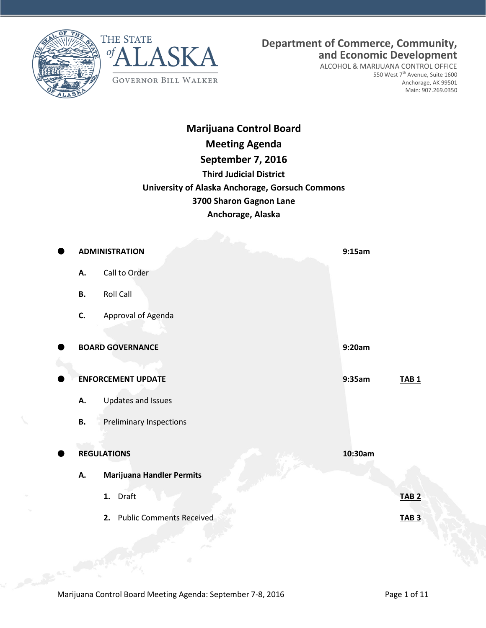



ALCOHOL & MARIJUANA CONTROL OFFICE 550 West 7<sup>th</sup> Avenue, Suite 1600 Anchorage, AK 99501 Main: 907.269.0350

# **Marijuana Control Board Meeting Agenda September 7, 2016 Third Judicial District University of Alaska Anchorage, Gorsuch Commons 3700 Sharon Gagnon Lane Anchorage, Alaska**

|           | <b>ADMINISTRATION</b>                 | 9:15am  |              |
|-----------|---------------------------------------|---------|--------------|
| А.        | Call to Order                         |         |              |
| <b>B.</b> | <b>Roll Call</b>                      |         |              |
| C.        | Approval of Agenda                    |         |              |
|           | <b>BOARD GOVERNANCE</b>               | 9:20am  |              |
|           |                                       |         |              |
|           | <b>ENFORCEMENT UPDATE</b>             | 9:35am  | <b>TAB1</b>  |
| А.        | <b>Updates and Issues</b>             |         |              |
| <b>B.</b> | <b>Preliminary Inspections</b>        |         |              |
|           | <b>REGULATIONS</b>                    | 10:30am |              |
| А.        | <b>Marijuana Handler Permits</b>      |         |              |
|           | 1. Draft                              |         | <b>TAB 2</b> |
|           | <b>Public Comments Received</b><br>2. |         | <b>TAB3</b>  |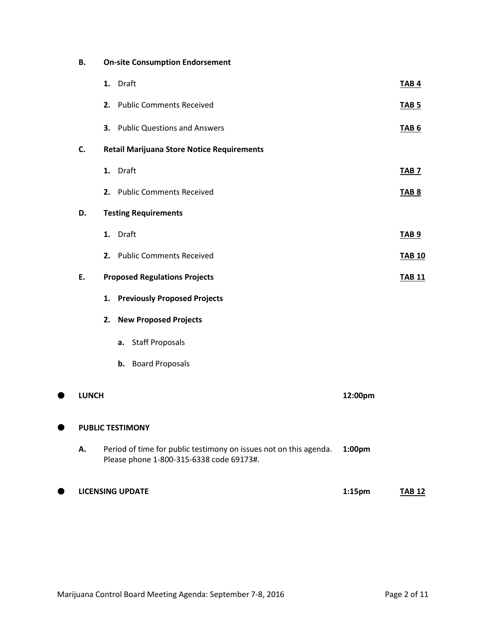|              | 1. Draft                                                                                                      |                    | TAB <sub>4</sub> |
|--------------|---------------------------------------------------------------------------------------------------------------|--------------------|------------------|
|              | 2. Public Comments Received                                                                                   |                    | <b>TAB 5</b>     |
|              | 3. Public Questions and Answers                                                                               |                    | <b>TAB 6</b>     |
| C.           | <b>Retail Marijuana Store Notice Requirements</b>                                                             |                    |                  |
|              | 1. Draft                                                                                                      |                    | <b>TAB 7</b>     |
|              | 2. Public Comments Received                                                                                   |                    | <b>TAB 8</b>     |
| D.           | <b>Testing Requirements</b>                                                                                   |                    |                  |
|              | 1. Draft                                                                                                      |                    | <b>TAB 9</b>     |
|              | 2. Public Comments Received                                                                                   |                    | <b>TAB 10</b>    |
| Ε.           | <b>Proposed Regulations Projects</b>                                                                          |                    | <b>TAB 11</b>    |
|              | <b>Previously Proposed Projects</b><br>1.                                                                     |                    |                  |
|              | <b>New Proposed Projects</b><br>2.                                                                            |                    |                  |
|              | <b>Staff Proposals</b><br>a.                                                                                  |                    |                  |
|              | <b>Board Proposals</b><br>b.                                                                                  |                    |                  |
| <b>LUNCH</b> |                                                                                                               | 12:00pm            |                  |
|              | <b>PUBLIC TESTIMONY</b>                                                                                       |                    |                  |
| А.           | Period of time for public testimony on issues not on this agenda.<br>Please phone 1-800-315-6338 code 69173#. | 1:00 <sub>pm</sub> |                  |
|              | <b>LICENSING UPDATE</b>                                                                                       | 1:15 <sub>pm</sub> | <b>TAB 12</b>    |

**B. On-site Consumption Endorsement**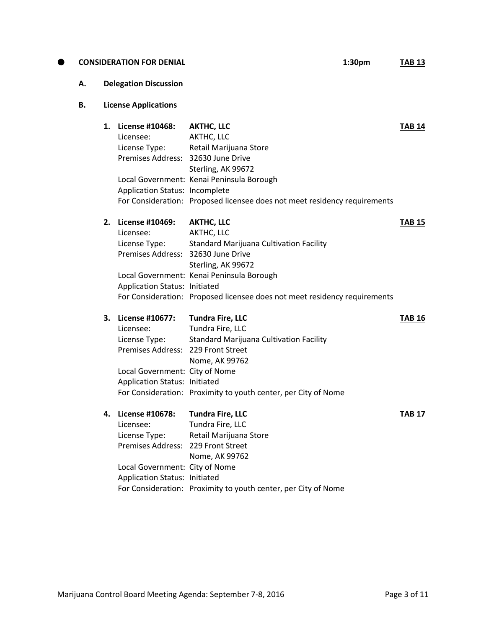### **CONSIDERATION FOR DENIAL 1:30pm TAB 13**

### **A. Delegation Discussion**

# **B. License Applications**

| 1. License #10468:                 | <b>AKTHC, LLC</b>                                                         | <b>TAB 14</b> |
|------------------------------------|---------------------------------------------------------------------------|---------------|
| Licensee:                          | AKTHC, LLC                                                                |               |
| License Type:                      | Retail Marijuana Store                                                    |               |
| Premises Address: 32630 June Drive |                                                                           |               |
|                                    | Sterling, AK 99672                                                        |               |
|                                    | Local Government: Kenai Peninsula Borough                                 |               |
| Application Status: Incomplete     |                                                                           |               |
|                                    | For Consideration: Proposed licensee does not meet residency requirements |               |
|                                    |                                                                           |               |

| 2. License #10469:                 | <b>AKTHC, LLC</b>                                                         | <b>TAB 15</b> |
|------------------------------------|---------------------------------------------------------------------------|---------------|
| Licensee:                          | AKTHC, LLC                                                                |               |
| License Type:                      | <b>Standard Marijuana Cultivation Facility</b>                            |               |
| Premises Address: 32630 June Drive |                                                                           |               |
|                                    | Sterling, AK 99672                                                        |               |
|                                    | Local Government: Kenai Peninsula Borough                                 |               |
| Application Status: Initiated      |                                                                           |               |
|                                    | For Consideration: Proposed licensee does not meet residency requirements |               |

| 3. | License #10677:                    | <b>Tundra Fire, LLC</b>                                        | TAB 16 |
|----|------------------------------------|----------------------------------------------------------------|--------|
|    | Licensee:                          | Tundra Fire, LLC                                               |        |
|    | License Type:                      | <b>Standard Marijuana Cultivation Facility</b>                 |        |
|    | Premises Address: 229 Front Street |                                                                |        |
|    |                                    | Nome, AK 99762                                                 |        |
|    | Local Government: City of Nome     |                                                                |        |
|    | Application Status: Initiated      |                                                                |        |
|    |                                    | For Consideration: Proximity to youth center, per City of Nome |        |
|    |                                    |                                                                |        |

| 4. | License #10678:                    | <b>Tundra Fire, LLC</b>                                        | <b>TAB 17</b> |
|----|------------------------------------|----------------------------------------------------------------|---------------|
|    | Licensee:                          | Tundra Fire, LLC                                               |               |
|    | License Type:                      | Retail Marijuana Store                                         |               |
|    | Premises Address: 229 Front Street |                                                                |               |
|    |                                    | Nome, AK 99762                                                 |               |
|    | Local Government: City of Nome     |                                                                |               |
|    | Application Status: Initiated      |                                                                |               |
|    |                                    | For Consideration: Proximity to youth center, per City of Nome |               |
|    |                                    |                                                                |               |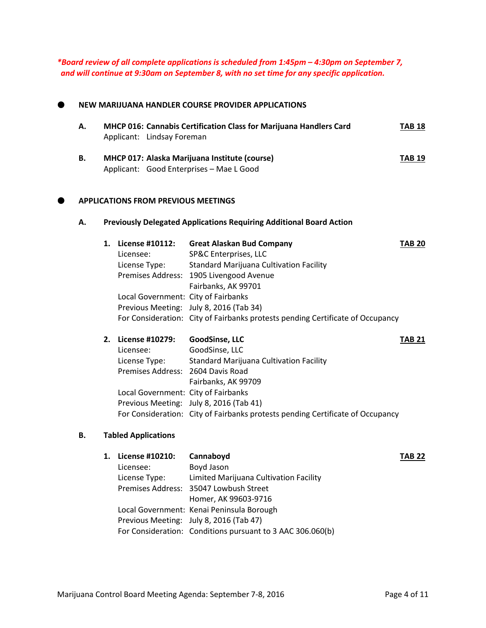*\*Board review of all complete applications is scheduled from 1:45pm – 4:30pm on September 7, and will continue at 9:30am on September 8, with no set time for any specific application.*

| NEW MARIJUANA HANDLER COURSE PROVIDER APPLICATIONS |                                  |          |                                                                                                                |                                                                                                                                                                                                                                                                                                                              |                                |
|----------------------------------------------------|----------------------------------|----------|----------------------------------------------------------------------------------------------------------------|------------------------------------------------------------------------------------------------------------------------------------------------------------------------------------------------------------------------------------------------------------------------------------------------------------------------------|--------------------------------|
|                                                    | А.                               |          | Applicant: Lindsay Foreman                                                                                     | MHCP 016: Cannabis Certification Class for Marijuana Handlers Card                                                                                                                                                                                                                                                           | <b>TAB 18</b>                  |
|                                                    | В.                               |          |                                                                                                                | MHCP 017: Alaska Marijuana Institute (course)<br>Applicant: Good Enterprises - Mae L Good                                                                                                                                                                                                                                    | <b>TAB 19</b>                  |
|                                                    |                                  |          | <b>APPLICATIONS FROM PREVIOUS MEETINGS</b>                                                                     |                                                                                                                                                                                                                                                                                                                              |                                |
|                                                    | Α.                               |          |                                                                                                                | <b>Previously Delegated Applications Requiring Additional Board Action</b>                                                                                                                                                                                                                                                   |                                |
|                                                    |                                  | 1.<br>2. | License #10112:<br>Licensee:<br>License Type:<br>Local Government: City of Fairbanks<br><b>License #10279:</b> | <b>Great Alaskan Bud Company</b><br>SP&C Enterprises, LLC<br><b>Standard Marijuana Cultivation Facility</b><br>Premises Address: 1905 Livengood Avenue<br>Fairbanks, AK 99701<br>Previous Meeting: July 8, 2016 (Tab 34)<br>For Consideration: City of Fairbanks protests pending Certificate of Occupancy<br>GoodSinse, LLC | <b>TAB 20</b><br><b>TAB 21</b> |
|                                                    |                                  |          | Licensee:<br>License Type:<br>Premises Address: 2604 Davis Road<br>Local Government: City of Fairbanks         | GoodSinse, LLC<br><b>Standard Marijuana Cultivation Facility</b><br>Fairbanks, AK 99709<br>Previous Meeting: July 8, 2016 (Tab 41)<br>For Consideration: City of Fairbanks protests pending Certificate of Occupancy                                                                                                         |                                |
|                                                    | В.<br><b>Tabled Applications</b> |          |                                                                                                                |                                                                                                                                                                                                                                                                                                                              |                                |
|                                                    |                                  |          | 1. License #10210:<br>Licensee:<br>License Type:                                                               | Cannaboyd<br>Boyd Jason<br>Limited Marijuana Cultivation Facility<br>Premises Address: 35047 Lowbush Street<br>Homer, AK 99603-9716<br>Local Government: Kenai Peninsula Borough<br>Previous Meeting: July 8, 2016 (Tab 47)<br>For Consideration: Conditions pursuant to 3 AAC 306.060(b)                                    | <b>TAB 22</b>                  |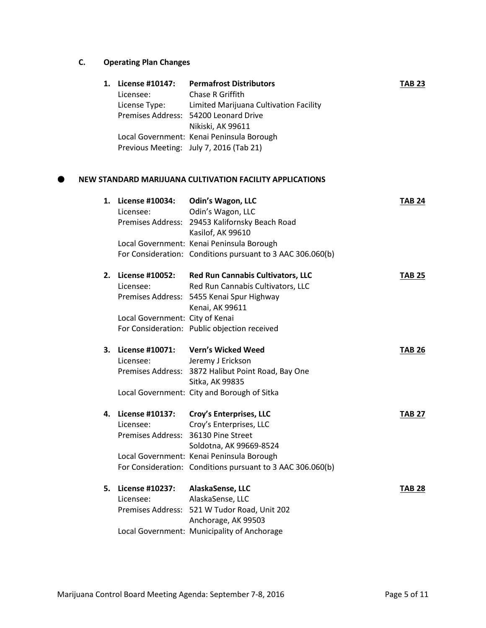# **C. Operating Plan Changes**

| License #10147: | <b>Permafrost Distributors</b>            | <b>TAB 23</b> |
|-----------------|-------------------------------------------|---------------|
| Licensee:       | Chase R Griffith                          |               |
| License Type:   | Limited Marijuana Cultivation Facility    |               |
|                 | Premises Address: 54200 Leonard Drive     |               |
|                 | Nikiski, AK 99611                         |               |
|                 | Local Government: Kenai Peninsula Borough |               |
|                 | Previous Meeting: July 7, 2016 (Tab 21)   |               |

#### **NEW STANDARD MARIJUANA CULTIVATION FACILITY APPLICATIONS**

| 1. | License #10034:<br>Licensee:        | Odin's Wagon, LLC<br>Odin's Wagon, LLC                     | <b>TAB 24</b> |
|----|-------------------------------------|------------------------------------------------------------|---------------|
|    |                                     | Premises Address: 29453 Kalifornsky Beach Road             |               |
|    |                                     | Kasilof, AK 99610                                          |               |
|    |                                     | Local Government: Kenai Peninsula Borough                  |               |
|    |                                     | For Consideration: Conditions pursuant to 3 AAC 306.060(b) |               |
| 2. | License #10052:                     | <b>Red Run Cannabis Cultivators, LLC</b>                   | <b>TAB 25</b> |
|    | Licensee:                           | Red Run Cannabis Cultivators, LLC                          |               |
|    |                                     | Premises Address: 5455 Kenai Spur Highway                  |               |
|    |                                     | Kenai, AK 99611                                            |               |
|    | Local Government: City of Kenai     |                                                            |               |
|    |                                     | For Consideration: Public objection received               |               |
| 3. |                                     | License #10071: Vern's Wicked Weed                         | <b>TAB 26</b> |
|    | Licensee:                           | Jeremy J Erickson                                          |               |
|    |                                     | Premises Address: 3872 Halibut Point Road, Bay One         |               |
|    |                                     | Sitka, AK 99835                                            |               |
|    |                                     | Local Government: City and Borough of Sitka                |               |
| 4. | License #10137:                     | Croy's Enterprises, LLC                                    | <b>TAB 27</b> |
|    | Licensee:                           | Croy's Enterprises, LLC                                    |               |
|    | Premises Address: 36130 Pine Street |                                                            |               |
|    |                                     | Soldotna, AK 99669-8524                                    |               |
|    |                                     | Local Government: Kenai Peninsula Borough                  |               |
|    |                                     | For Consideration: Conditions pursuant to 3 AAC 306.060(b) |               |
| 5. | License #10237:                     | AlaskaSense, LLC                                           | <b>TAB 28</b> |
|    | Licensee:                           | AlaskaSense, LLC                                           |               |
|    |                                     | Premises Address: 521 W Tudor Road, Unit 202               |               |
|    |                                     | Anchorage, AK 99503                                        |               |
|    |                                     | Local Government: Municipality of Anchorage                |               |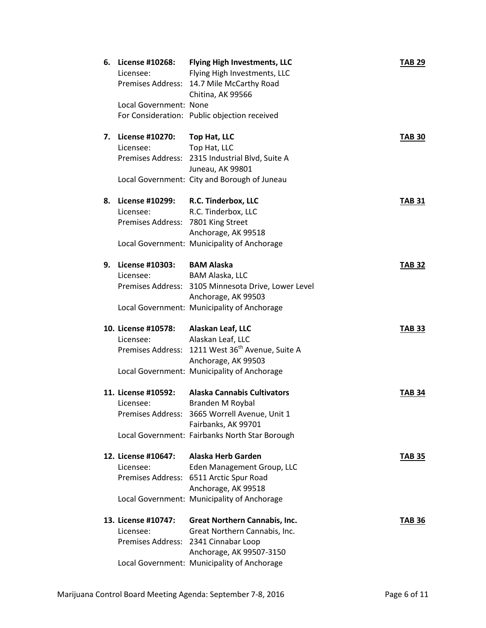| 6. | License #10268:<br>Licensee:       | <b>Flying High Investments, LLC</b><br>Flying High Investments, LLC<br>Premises Address: 14.7 Mile McCarthy Road<br>Chitina, AK 99566 | <b>TAB 29</b> |
|----|------------------------------------|---------------------------------------------------------------------------------------------------------------------------------------|---------------|
|    | Local Government: None             | For Consideration: Public objection received                                                                                          |               |
| 7. | License #10270:                    | Top Hat, LLC                                                                                                                          | <b>TAB 30</b> |
|    | Licensee:                          | Top Hat, LLC                                                                                                                          |               |
|    |                                    | Premises Address: 2315 Industrial Blvd, Suite A                                                                                       |               |
|    |                                    | Juneau, AK 99801<br>Local Government: City and Borough of Juneau                                                                      |               |
|    |                                    |                                                                                                                                       |               |
| 8. | License #10299:                    | R.C. Tinderbox, LLC                                                                                                                   | <b>TAB 31</b> |
|    | Licensee:                          | R.C. Tinderbox, LLC                                                                                                                   |               |
|    | Premises Address: 7801 King Street |                                                                                                                                       |               |
|    |                                    | Anchorage, AK 99518                                                                                                                   |               |
|    |                                    | Local Government: Municipality of Anchorage                                                                                           |               |
| 9. | License #10303:                    | <b>BAM Alaska</b>                                                                                                                     | <b>TAB 32</b> |
|    | Licensee:                          | <b>BAM Alaska, LLC</b>                                                                                                                |               |
|    |                                    | Premises Address: 3105 Minnesota Drive, Lower Level                                                                                   |               |
|    |                                    | Anchorage, AK 99503                                                                                                                   |               |
|    |                                    | Local Government: Municipality of Anchorage                                                                                           |               |
|    | 10. License #10578:                | Alaskan Leaf, LLC                                                                                                                     | <b>TAB 33</b> |
|    | Licensee:                          | Alaskan Leaf, LLC                                                                                                                     |               |
|    |                                    | Premises Address: 1211 West 36 <sup>th</sup> Avenue, Suite A                                                                          |               |
|    |                                    | Anchorage, AK 99503                                                                                                                   |               |
|    |                                    |                                                                                                                                       |               |
|    |                                    | Local Government: Municipality of Anchorage                                                                                           |               |
|    |                                    |                                                                                                                                       |               |
|    | 11. License #10592:                | <b>Alaska Cannabis Cultivators</b>                                                                                                    | <b>TAB 34</b> |
|    | Licensee:                          | Branden M Roybal<br>Premises Address: 3665 Worrell Avenue, Unit 1                                                                     |               |
|    |                                    | Fairbanks, AK 99701                                                                                                                   |               |
|    |                                    | Local Government: Fairbanks North Star Borough                                                                                        |               |
|    |                                    |                                                                                                                                       |               |
|    | 12. License #10647:                | Alaska Herb Garden                                                                                                                    | <b>TAB 35</b> |
|    | Licensee:                          | Eden Management Group, LLC                                                                                                            |               |
|    |                                    | Premises Address: 6511 Arctic Spur Road<br>Anchorage, AK 99518                                                                        |               |
|    |                                    | Local Government: Municipality of Anchorage                                                                                           |               |
|    |                                    |                                                                                                                                       |               |
|    | 13. License #10747:                | <b>Great Northern Cannabis, Inc.</b>                                                                                                  | <b>TAB 36</b> |
|    | Licensee:                          | Great Northern Cannabis, Inc.                                                                                                         |               |
|    |                                    | Premises Address: 2341 Cinnabar Loop<br>Anchorage, AK 99507-3150                                                                      |               |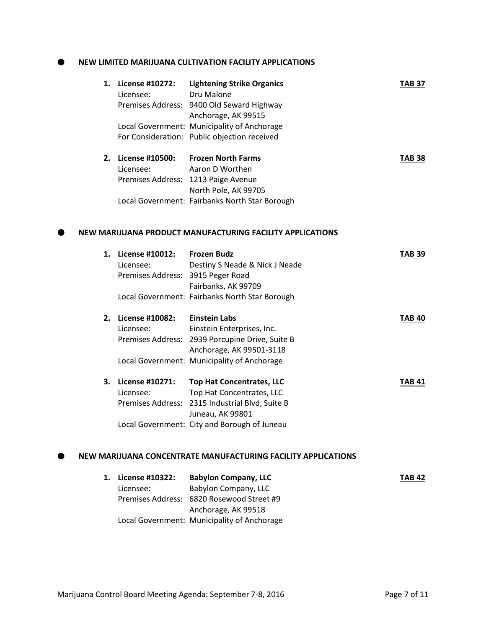# **NEW LIMITED MARIJUANA CULTIVATION FACILITY APPLICATIONS**

| 1.          | License #10272:<br>Licensee: | <b>Lightening Strike Organics</b><br>Dru Malone<br>Premises Address: 9400 Old Seward Highway<br>Anchorage, AK 99515 | TAB 37        |
|-------------|------------------------------|---------------------------------------------------------------------------------------------------------------------|---------------|
|             |                              | Local Government: Municipality of Anchorage                                                                         |               |
|             |                              | For Consideration: Public objection received                                                                        |               |
| $2_{\cdot}$ | License #10500:              | <b>Frozen North Farms</b>                                                                                           | <b>TAB 38</b> |
|             | Licensee:                    | Aaron D Worthen                                                                                                     |               |
|             |                              | Premises Address: 1213 Paige Avenue                                                                                 |               |
|             |                              | North Pole, AK 99705                                                                                                |               |
|             |                              | Local Government: Fairbanks North Star Borough                                                                      |               |

#### **NEW MARIJUANA PRODUCT MANUFACTURING FACILITY APPLICATIONS**

| $\mathbf 1$ | License #10012: Frozen Budz<br>Licensee:<br>Premises Address: 3915 Peger Road | Destiny S Neade & Nick J Neade<br>Fairbanks, AK 99709 | TAB 39 |
|-------------|-------------------------------------------------------------------------------|-------------------------------------------------------|--------|
|             |                                                                               | Local Government: Fairbanks North Star Borough        |        |
| 2.          | License #10082:                                                               | <b>Einstein Labs</b>                                  | TAB 40 |
|             | Licensee:                                                                     | Einstein Enterprises, Inc.                            |        |
|             |                                                                               | Premises Address: 2939 Porcupine Drive, Suite B       |        |
|             |                                                                               | Anchorage, AK 99501-3118                              |        |
|             |                                                                               | Local Government: Municipality of Anchorage           |        |
| З.          | License #10271:                                                               | <b>Top Hat Concentrates, LLC</b>                      | TAB 41 |
|             | Licensee:                                                                     | Top Hat Concentrates, LLC                             |        |
|             |                                                                               | Premises Address: 2315 Industrial Blvd, Suite B       |        |
|             |                                                                               | Juneau, AK 99801                                      |        |
|             |                                                                               | Local Government: City and Borough of Juneau          |        |
|             |                                                                               |                                                       |        |

#### **NEW MARIJUANA CONCENTRATE MANUFACTURING FACILITY APPLICATIONS**

| 1. License #10322: | <b>Babylon Company, LLC</b>                 | <b>TAB 42</b> |
|--------------------|---------------------------------------------|---------------|
| Licensee:          | Babylon Company, LLC                        |               |
|                    | Premises Address: 6820 Rosewood Street #9   |               |
|                    | Anchorage, AK 99518                         |               |
|                    | Local Government: Municipality of Anchorage |               |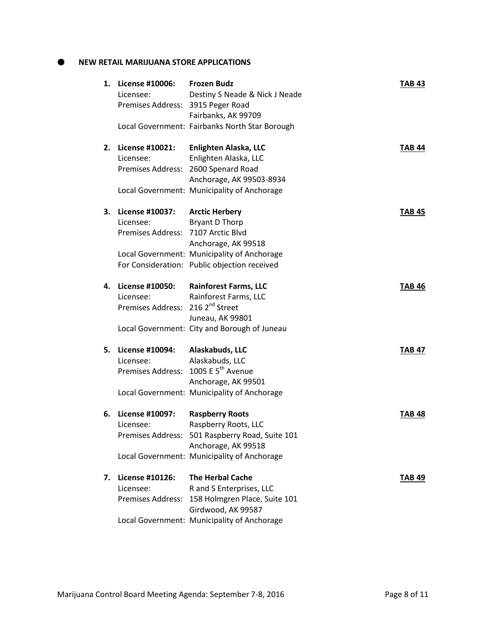**NEW RETAIL MARIJUANA STORE APPLICATIONS** 

| 1. | License #10006:<br>Licensee:<br>Premises Address: 3915 Peger Road               | <b>Frozen Budz</b><br>Destiny S Neade & Nick J Neade                                                                                                                    | <b>TAB 43</b> |  |
|----|---------------------------------------------------------------------------------|-------------------------------------------------------------------------------------------------------------------------------------------------------------------------|---------------|--|
|    |                                                                                 | Fairbanks, AK 99709<br>Local Government: Fairbanks North Star Borough                                                                                                   |               |  |
| 2. | License #10021:<br>Licensee:                                                    | Enlighten Alaska, LLC<br>Enlighten Alaska, LLC<br>Premises Address: 2600 Spenard Road<br>Anchorage, AK 99503-8934<br>Local Government: Municipality of Anchorage        | TAB 44        |  |
| З. | License #10037:<br>Licensee:<br>Premises Address: 7107 Arctic Blvd              | <b>Arctic Herbery</b><br><b>Bryant D Thorp</b><br>Anchorage, AK 99518<br>Local Government: Municipality of Anchorage<br>For Consideration: Public objection received    | <b>TAB 45</b> |  |
| 4. | License #10050:<br>Licensee:<br>Premises Address: 216 2 <sup>nd</sup> Street    | <b>Rainforest Farms, LLC</b><br>Rainforest Farms, LLC<br>Juneau, AK 99801<br>Local Government: City and Borough of Juneau                                               | TAB 46        |  |
| 5. | License #10094:<br>Licensee:<br>Premises Address: 1005 E 5 <sup>th</sup> Avenue | Alaskabuds, LLC<br>Alaskabuds, LLC<br>Anchorage, AK 99501<br>Local Government: Municipality of Anchorage                                                                | <b>TAB 47</b> |  |
| 6. | <b>License #10097:</b><br>Licensee:                                             | <b>Raspberry Roots</b><br>Raspberry Roots, LLC<br>Premises Address: 501 Raspberry Road, Suite 101<br>Anchorage, AK 99518<br>Local Government: Municipality of Anchorage | <b>TAB 48</b> |  |
| 7. | License #10126:<br>Licensee:<br>Premises Address:                               | <b>The Herbal Cache</b><br>R and S Enterprises, LLC<br>158 Holmgren Place, Suite 101<br>Girdwood, AK 99587<br>Local Government: Municipality of Anchorage               | <b>TAB 49</b> |  |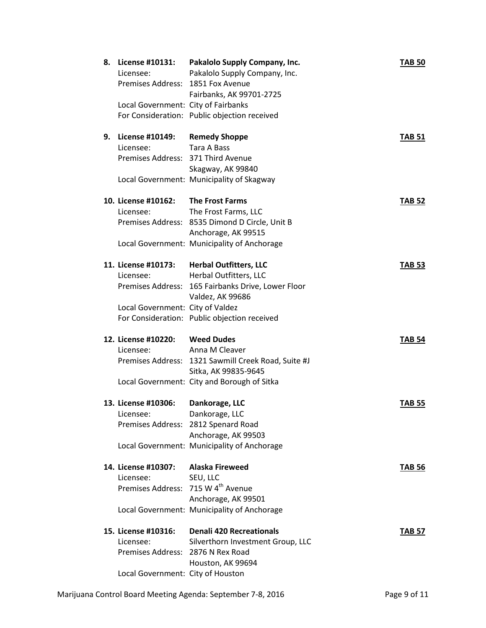| 8. | License #10131:<br>Licensee:<br>Premises Address: 1851 Fox Avenue<br>Local Government: City of Fairbanks | Pakalolo Supply Company, Inc.<br>Pakalolo Supply Company, Inc.<br>Fairbanks, AK 99701-2725 | <b>TAB 50</b> |
|----|----------------------------------------------------------------------------------------------------------|--------------------------------------------------------------------------------------------|---------------|
|    |                                                                                                          | For Consideration: Public objection received                                               |               |
| 9. | License #10149:                                                                                          | <b>Remedy Shoppe</b>                                                                       | TAB 51        |
|    | Licensee:                                                                                                | <b>Tara A Bass</b>                                                                         |               |
|    | Premises Address: 371 Third Avenue                                                                       |                                                                                            |               |
|    |                                                                                                          | Skagway, AK 99840                                                                          |               |
|    |                                                                                                          | Local Government: Municipality of Skagway                                                  |               |
|    | 10. License #10162:                                                                                      | <b>The Frost Farms</b>                                                                     | <b>TAB 52</b> |
|    | Licensee:                                                                                                | The Frost Farms, LLC                                                                       |               |
|    |                                                                                                          | Premises Address: 8535 Dimond D Circle, Unit B                                             |               |
|    |                                                                                                          | Anchorage, AK 99515                                                                        |               |
|    |                                                                                                          | Local Government: Municipality of Anchorage                                                |               |
|    | 11. License #10173:                                                                                      | <b>Herbal Outfitters, LLC</b>                                                              | <b>TAB 53</b> |
|    | Licensee:                                                                                                | Herbal Outfitters, LLC                                                                     |               |
|    |                                                                                                          | Premises Address: 165 Fairbanks Drive, Lower Floor                                         |               |
|    |                                                                                                          | Valdez, AK 99686                                                                           |               |
|    | Local Government: City of Valdez                                                                         |                                                                                            |               |
|    |                                                                                                          | For Consideration: Public objection received                                               |               |
|    | 12. License #10220:                                                                                      | <b>Weed Dudes</b>                                                                          | <b>TAB 54</b> |
|    | Licensee:                                                                                                | Anna M Cleaver                                                                             |               |
|    |                                                                                                          | Premises Address: 1321 Sawmill Creek Road, Suite #J                                        |               |
|    |                                                                                                          | Sitka, AK 99835-9645                                                                       |               |
|    |                                                                                                          | Local Government: City and Borough of Sitka                                                |               |
|    | 13. License #10306:                                                                                      | Dankorage, LLC                                                                             | <b>TAB 55</b> |
|    | Licensee:                                                                                                | Dankorage, LLC                                                                             |               |
|    |                                                                                                          | Premises Address: 2812 Spenard Road                                                        |               |
|    |                                                                                                          | Anchorage, AK 99503                                                                        |               |
|    |                                                                                                          | Local Government: Municipality of Anchorage                                                |               |
|    | 14. License #10307:                                                                                      | <b>Alaska Fireweed</b>                                                                     | <b>TAB 56</b> |
|    | Licensee:                                                                                                | SEU, LLC                                                                                   |               |
|    | Premises Address: 715 W 4 <sup>th</sup> Avenue                                                           |                                                                                            |               |
|    |                                                                                                          | Anchorage, AK 99501                                                                        |               |
|    |                                                                                                          | Local Government: Municipality of Anchorage                                                |               |
|    | 15. License #10316:                                                                                      | <b>Denali 420 Recreationals</b>                                                            | <b>TAB 57</b> |
|    | Licensee:                                                                                                | Silverthorn Investment Group, LLC                                                          |               |
|    | Premises Address: 2876 N Rex Road                                                                        |                                                                                            |               |
|    |                                                                                                          | Houston, AK 99694                                                                          |               |
|    | Local Government: City of Houston                                                                        |                                                                                            |               |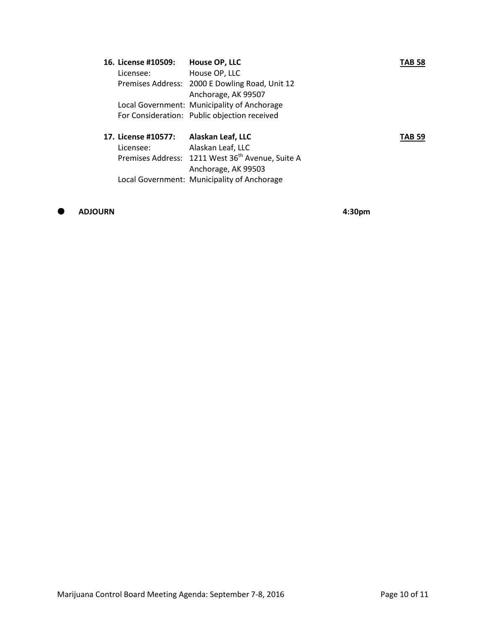|  | 16. License #10509:<br>Licensee: | House OP, LLC<br>House OP, LLC                                        | TAB 58 |
|--|----------------------------------|-----------------------------------------------------------------------|--------|
|  |                                  | Premises Address: 2000 E Dowling Road, Unit 12<br>Anchorage, AK 99507 |        |
|  |                                  | Local Government: Municipality of Anchorage                           |        |
|  |                                  | For Consideration: Public objection received                          |        |
|  | 17. License #10577:              | Alaskan Leaf, LLC                                                     | TAB 59 |
|  | Licensee:                        | Alaskan Leaf, LLC                                                     |        |
|  |                                  | Premises Address: 1211 West 36 <sup>th</sup> Avenue, Suite A          |        |
|  |                                  | Anchorage, AK 99503                                                   |        |
|  |                                  |                                                                       |        |
|  |                                  | Local Government: Municipality of Anchorage                           |        |

**ADJOURN 4:30pm**